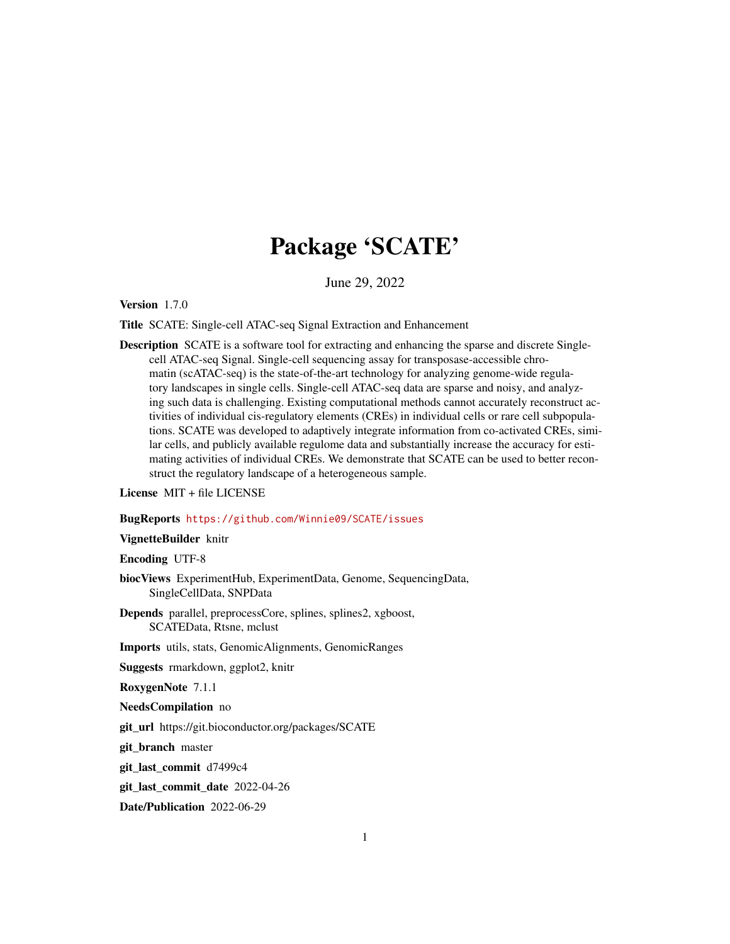## Package 'SCATE'

June 29, 2022

Version 1.7.0

Title SCATE: Single-cell ATAC-seq Signal Extraction and Enhancement

Description SCATE is a software tool for extracting and enhancing the sparse and discrete Singlecell ATAC-seq Signal. Single-cell sequencing assay for transposase-accessible chromatin (scATAC-seq) is the state-of-the-art technology for analyzing genome-wide regulatory landscapes in single cells. Single-cell ATAC-seq data are sparse and noisy, and analyzing such data is challenging. Existing computational methods cannot accurately reconstruct activities of individual cis-regulatory elements (CREs) in individual cells or rare cell subpopulations. SCATE was developed to adaptively integrate information from co-activated CREs, similar cells, and publicly available regulome data and substantially increase the accuracy for estimating activities of individual CREs. We demonstrate that SCATE can be used to better reconstruct the regulatory landscape of a heterogeneous sample.

License MIT + file LICENSE

#### BugReports <https://github.com/Winnie09/SCATE/issues>

VignetteBuilder knitr

Encoding UTF-8

- biocViews ExperimentHub, ExperimentData, Genome, SequencingData, SingleCellData, SNPData
- Depends parallel, preprocessCore, splines, splines2, xgboost, SCATEData, Rtsne, mclust

Imports utils, stats, GenomicAlignments, GenomicRanges

Suggests rmarkdown, ggplot2, knitr

RoxygenNote 7.1.1

NeedsCompilation no

git\_url https://git.bioconductor.org/packages/SCATE

git\_branch master

git\_last\_commit d7499c4

git\_last\_commit\_date 2022-04-26

Date/Publication 2022-06-29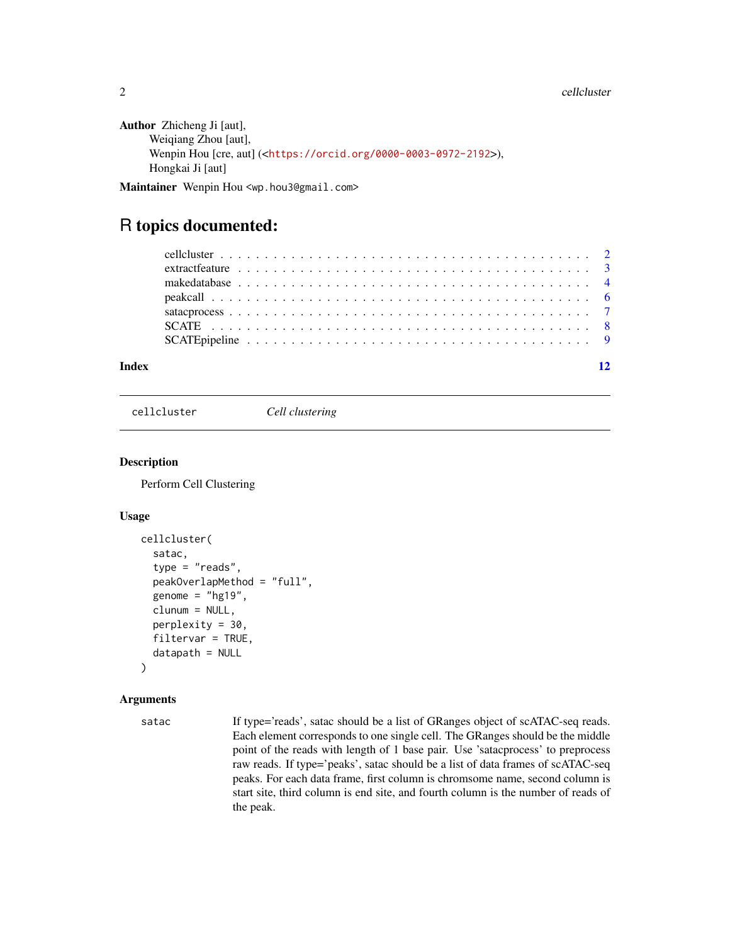```
Author Zhicheng Ji [aut],
     Weiqiang Zhou [aut],
     Wenpin Hou [cre, aut] (<https://orcid.org/0000-0003-0972-2192>),
     Hongkai Ji [aut]
```
Maintainer Wenpin Hou <wp.hou3@gmail.com>

### R topics documented:

#### **Index** [12](#page-11-0)

cellcluster *Cell clustering*

#### Description

Perform Cell Clustering

#### Usage

```
cellcluster(
  satac,
  type = "reads",peakOverlapMethod = "full",
  genome = "hg19",
  clunum = NULL,
  perplexity = 30,
  filtervar = TRUE,
  datapath = NULL)
```
#### Arguments

satac If type='reads', satac should be a list of GRanges object of scATAC-seq reads. Each element corresponds to one single cell. The GRanges should be the middle point of the reads with length of 1 base pair. Use 'satacprocess' to preprocess raw reads. If type='peaks', satac should be a list of data frames of scATAC-seq peaks. For each data frame, first column is chromsome name, second column is start site, third column is end site, and fourth column is the number of reads of the peak.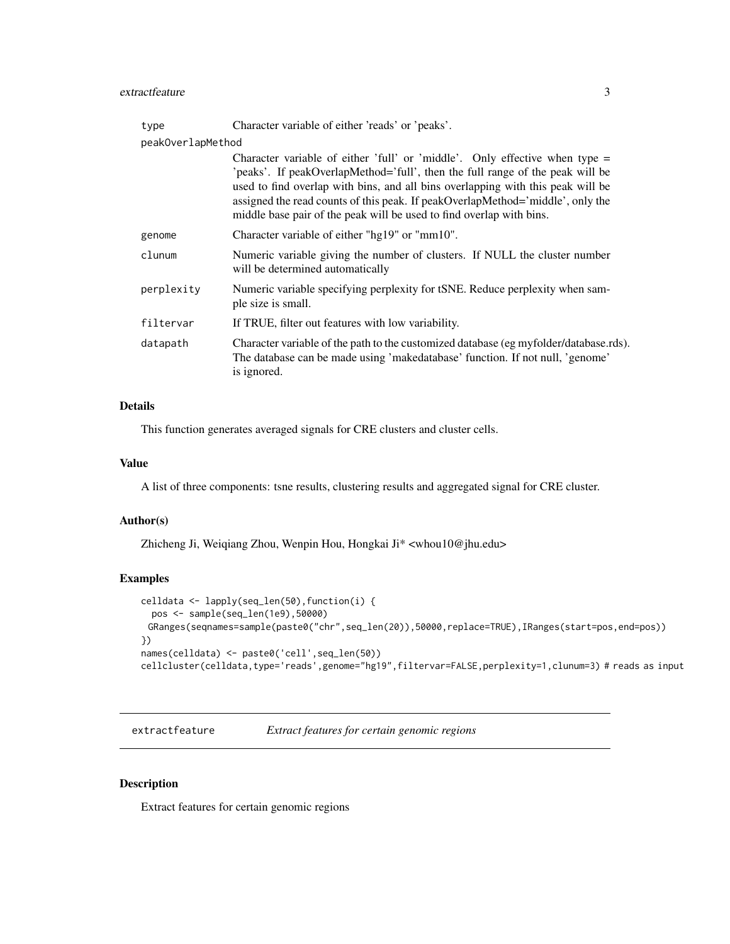#### <span id="page-2-0"></span>extractfeature 3

| type              | Character variable of either 'reads' or 'peaks'.                                                                                                                                                                                                                                                                                                                                                            |
|-------------------|-------------------------------------------------------------------------------------------------------------------------------------------------------------------------------------------------------------------------------------------------------------------------------------------------------------------------------------------------------------------------------------------------------------|
| peakOverlapMethod |                                                                                                                                                                                                                                                                                                                                                                                                             |
|                   | Character variable of either 'full' or 'middle'. Only effective when type $=$<br>'peaks'. If peakOverlapMethod='full', then the full range of the peak will be<br>used to find overlap with bins, and all bins overlapping with this peak will be<br>assigned the read counts of this peak. If peakOverlapMethod='middle', only the<br>middle base pair of the peak will be used to find overlap with bins. |
| genome            | Character variable of either "hg19" or "mm10".                                                                                                                                                                                                                                                                                                                                                              |
| clunum            | Numeric variable giving the number of clusters. If NULL the cluster number<br>will be determined automatically                                                                                                                                                                                                                                                                                              |
| perplexity        | Numeric variable specifying perplexity for tSNE. Reduce perplexity when sam-<br>ple size is small.                                                                                                                                                                                                                                                                                                          |
| filtervar         | If TRUE, filter out features with low variability.                                                                                                                                                                                                                                                                                                                                                          |
| datapath          | Character variable of the path to the customized database (eg myfolder/database.rds).<br>The database can be made using 'makedatabase' function. If not null, 'genome'<br>is ignored.                                                                                                                                                                                                                       |

#### Details

This function generates averaged signals for CRE clusters and cluster cells.

#### Value

A list of three components: tsne results, clustering results and aggregated signal for CRE cluster.

#### Author(s)

Zhicheng Ji, Weiqiang Zhou, Wenpin Hou, Hongkai Ji\* <whou10@jhu.edu>

#### Examples

```
celldata <- lapply(seq_len(50),function(i) {
  pos <- sample(seq_len(1e9),50000)
 GRanges(seqnames=sample(paste0("chr",seq_len(20)),50000,replace=TRUE),IRanges(start=pos,end=pos))
})
names(celldata) <- paste0('cell',seq_len(50))
cellcluster(celldata,type='reads',genome="hg19",filtervar=FALSE,perplexity=1,clunum=3) # reads as input
```
extractfeature *Extract features for certain genomic regions*

#### Description

Extract features for certain genomic regions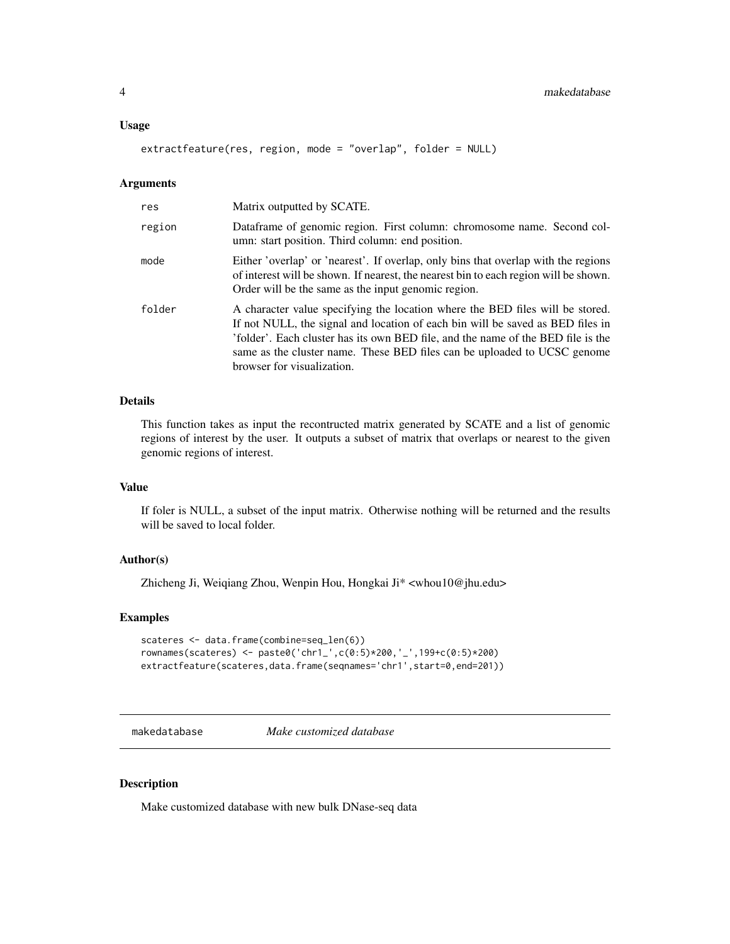#### <span id="page-3-0"></span>Usage

extractfeature(res, region, mode = "overlap", folder = NULL)

#### Arguments

| res    | Matrix outputted by SCATE.                                                                                                                                                                                                                                                                                                                                    |
|--------|---------------------------------------------------------------------------------------------------------------------------------------------------------------------------------------------------------------------------------------------------------------------------------------------------------------------------------------------------------------|
| region | Dataframe of genomic region. First column: chromosome name. Second col-<br>umn: start position. Third column: end position.                                                                                                                                                                                                                                   |
| mode   | Either 'overlap' or 'nearest'. If overlap, only bins that overlap with the regions<br>of interest will be shown. If nearest, the nearest bin to each region will be shown.<br>Order will be the same as the input genomic region.                                                                                                                             |
| folder | A character value specifying the location where the BED files will be stored.<br>If not NULL, the signal and location of each bin will be saved as BED files in<br>'folder'. Each cluster has its own BED file, and the name of the BED file is the<br>same as the cluster name. These BED files can be uploaded to UCSC genome<br>browser for visualization. |

#### Details

This function takes as input the recontructed matrix generated by SCATE and a list of genomic regions of interest by the user. It outputs a subset of matrix that overlaps or nearest to the given genomic regions of interest.

#### Value

If foler is NULL, a subset of the input matrix. Otherwise nothing will be returned and the results will be saved to local folder.

#### Author(s)

Zhicheng Ji, Weiqiang Zhou, Wenpin Hou, Hongkai Ji\* <whou10@jhu.edu>

#### Examples

```
scateres <- data.frame(combine=seq_len(6))
rownames(scateres) <- paste0('chr1_',c(0:5)*200,'_',199+c(0:5)*200)
extractfeature(scateres,data.frame(seqnames='chr1',start=0,end=201))
```
makedatabase *Make customized database*

#### Description

Make customized database with new bulk DNase-seq data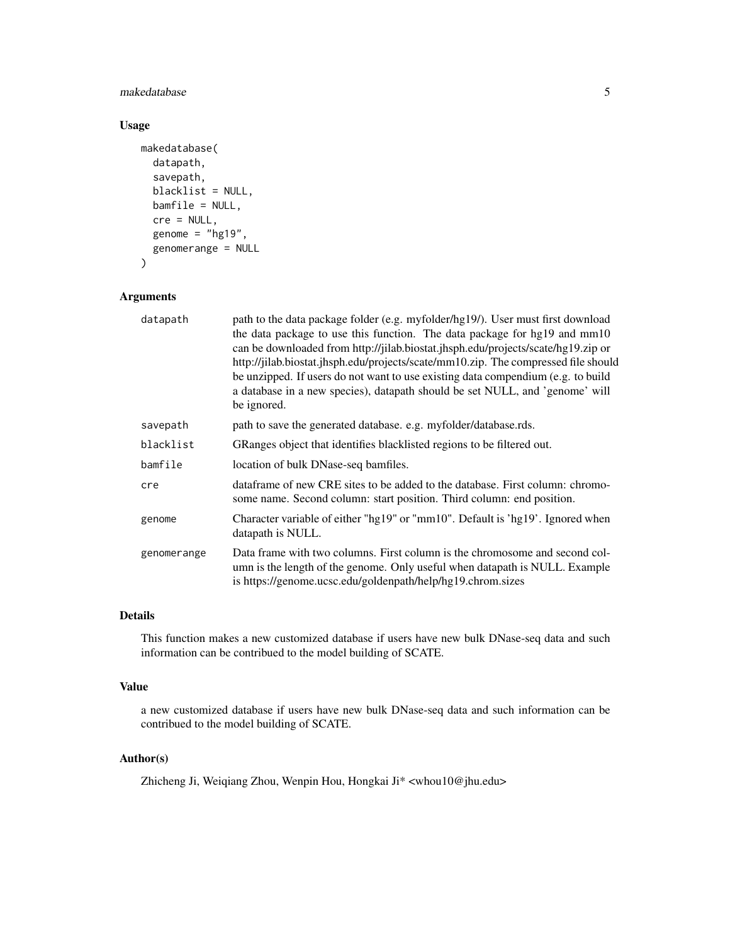#### makedatabase 5

#### Usage

```
makedatabase(
  datapath,
  savepath,
  blacklist = NULL,
  bamfile = NULL,
  cre = NULL,
  genome = "hg19",
  genomerange = NULL
\mathcal{L}
```
#### Arguments

| datapath    | path to the data package folder (e.g. myfolder/hg19/). User must first download<br>the data package to use this function. The data package for hg19 and mm10<br>can be downloaded from http://jilab.biostat.jhsph.edu/projects/scate/hg19.zip or<br>http://jilab.biostat.jhsph.edu/projects/scate/mm10.zip. The compressed file should<br>be unzipped. If users do not want to use existing data compendium (e.g. to build<br>a database in a new species), datapath should be set NULL, and 'genome' will<br>be ignored. |
|-------------|---------------------------------------------------------------------------------------------------------------------------------------------------------------------------------------------------------------------------------------------------------------------------------------------------------------------------------------------------------------------------------------------------------------------------------------------------------------------------------------------------------------------------|
| savepath    | path to save the generated database. e.g. myfolder/database.rds.                                                                                                                                                                                                                                                                                                                                                                                                                                                          |
| blacklist   | GRanges object that identifies blacklisted regions to be filtered out.                                                                                                                                                                                                                                                                                                                                                                                                                                                    |
| bamfile     | location of bulk DNase-seq bamfiles.                                                                                                                                                                                                                                                                                                                                                                                                                                                                                      |
| cre         | data frame of new CRE sites to be added to the database. First column: chromo-<br>some name. Second column: start position. Third column: end position.                                                                                                                                                                                                                                                                                                                                                                   |
| genome      | Character variable of either "hg19" or "mm10". Default is 'hg19'. Ignored when<br>datapath is NULL.                                                                                                                                                                                                                                                                                                                                                                                                                       |
| genomerange | Data frame with two columns. First column is the chromosome and second col-<br>umn is the length of the genome. Only useful when datapath is NULL. Example<br>is https://genome.ucsc.edu/goldenpath/help/hg19.chrom.sizes                                                                                                                                                                                                                                                                                                 |

#### Details

This function makes a new customized database if users have new bulk DNase-seq data and such information can be contribued to the model building of SCATE.

#### Value

a new customized database if users have new bulk DNase-seq data and such information can be contribued to the model building of SCATE.

#### Author(s)

Zhicheng Ji, Weiqiang Zhou, Wenpin Hou, Hongkai Ji\* <whou10@jhu.edu>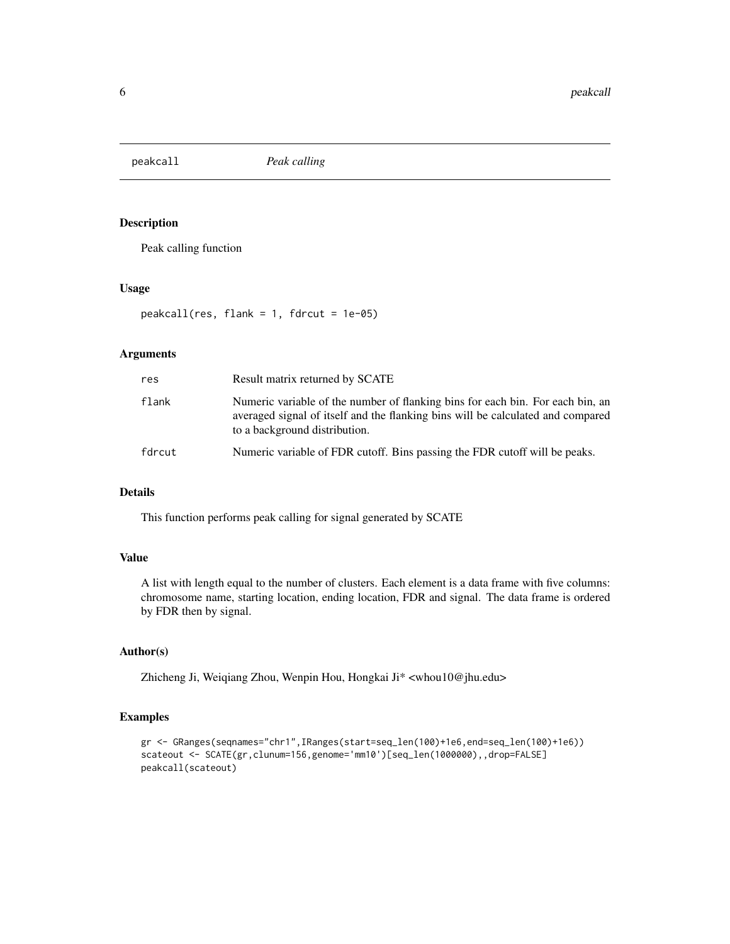<span id="page-5-0"></span>

#### Description

Peak calling function

#### Usage

peakcall(res, flank = 1, fdrcut = 1e-05)

#### Arguments

| res    | Result matrix returned by SCATE                                                                                                                                                                    |
|--------|----------------------------------------------------------------------------------------------------------------------------------------------------------------------------------------------------|
| flank  | Numeric variable of the number of flanking bins for each bin. For each bin, an<br>averaged signal of itself and the flanking bins will be calculated and compared<br>to a background distribution. |
| fdrcut | Numeric variable of FDR cutoff. Bins passing the FDR cutoff will be peaks.                                                                                                                         |

#### Details

This function performs peak calling for signal generated by SCATE

#### Value

A list with length equal to the number of clusters. Each element is a data frame with five columns: chromosome name, starting location, ending location, FDR and signal. The data frame is ordered by FDR then by signal.

#### Author(s)

Zhicheng Ji, Weiqiang Zhou, Wenpin Hou, Hongkai Ji\* <whou10@jhu.edu>

#### Examples

```
gr <- GRanges(seqnames="chr1",IRanges(start=seq_len(100)+1e6,end=seq_len(100)+1e6))
scateout <- SCATE(gr,clunum=156,genome='mm10')[seq_len(1000000),,drop=FALSE]
peakcall(scateout)
```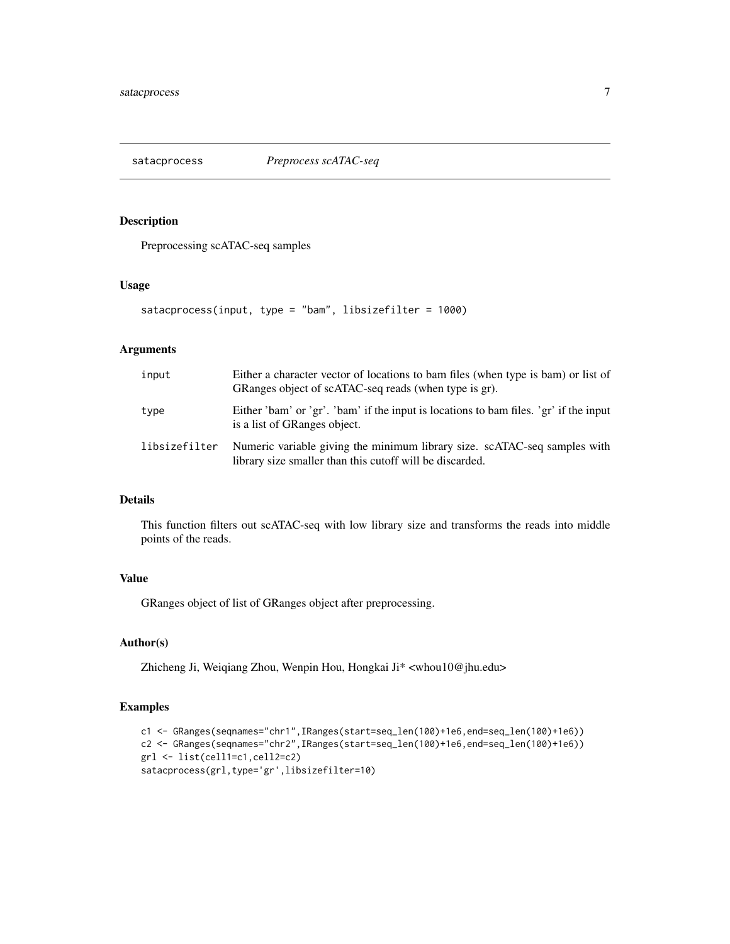<span id="page-6-0"></span>

#### Description

Preprocessing scATAC-seq samples

#### Usage

```
satacprocess(input, type = "bam", libsizefilter = 1000)
```
#### Arguments

| input         | Either a character vector of locations to bam files (when type is bam) or list of<br>GRanges object of scATAC-seq reads (when type is gr). |
|---------------|--------------------------------------------------------------------------------------------------------------------------------------------|
| type          | Either 'bam' or 'gr'. 'bam' if the input is locations to bam files. 'gr' if the input<br>is a list of GRanges object.                      |
| libsizefilter | Numeric variable giving the minimum library size. scATAC-seq samples with<br>library size smaller than this cutoff will be discarded.      |

#### Details

This function filters out scATAC-seq with low library size and transforms the reads into middle points of the reads.

#### Value

GRanges object of list of GRanges object after preprocessing.

#### Author(s)

Zhicheng Ji, Weiqiang Zhou, Wenpin Hou, Hongkai Ji\* <whou10@jhu.edu>

#### Examples

```
c1 <- GRanges(seqnames="chr1",IRanges(start=seq_len(100)+1e6,end=seq_len(100)+1e6))
c2 <- GRanges(seqnames="chr2",IRanges(start=seq_len(100)+1e6,end=seq_len(100)+1e6))
grl <- list(cell1=c1,cell2=c2)
satacprocess(grl,type='gr',libsizefilter=10)
```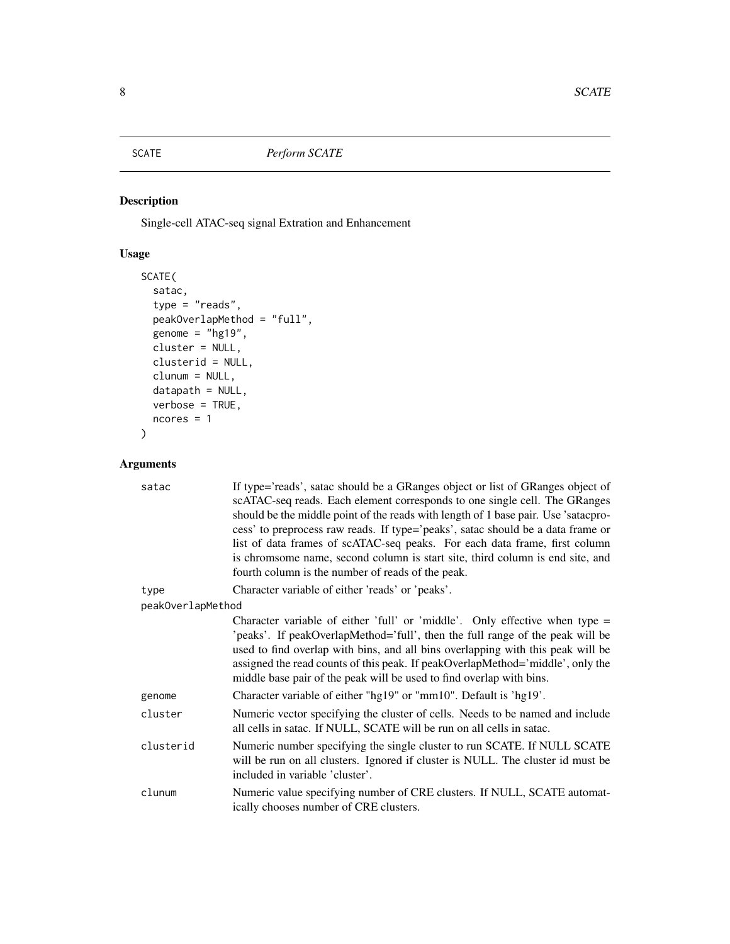<span id="page-7-0"></span>

#### Description

Single-cell ATAC-seq signal Extration and Enhancement

#### Usage

```
SCATE(
 satac,
  type = "reads",peakOverlapMethod = "full",
 genome = "hg19",
 cluster = NULL,
 clusterid = NULL,
 clunum = NULL,
 datapath = NULL,
 verbose = TRUE,
 ncores = 1\mathcal{L}
```
#### Arguments

| satac             | If type='reads', satac should be a GRanges object or list of GRanges object of<br>scATAC-seq reads. Each element corresponds to one single cell. The GRanges<br>should be the middle point of the reads with length of 1 base pair. Use 'satacpro-<br>cess' to preprocess raw reads. If type='peaks', satac should be a data frame or<br>list of data frames of scATAC-seq peaks. For each data frame, first column<br>is chromsome name, second column is start site, third column is end site, and<br>fourth column is the number of reads of the peak. |
|-------------------|-----------------------------------------------------------------------------------------------------------------------------------------------------------------------------------------------------------------------------------------------------------------------------------------------------------------------------------------------------------------------------------------------------------------------------------------------------------------------------------------------------------------------------------------------------------|
| type              | Character variable of either 'reads' or 'peaks'.                                                                                                                                                                                                                                                                                                                                                                                                                                                                                                          |
| peakOverlapMethod |                                                                                                                                                                                                                                                                                                                                                                                                                                                                                                                                                           |
|                   | Character variable of either 'full' or 'middle'. Only effective when type $=$<br>'peaks'. If peakOverlapMethod='full', then the full range of the peak will be<br>used to find overlap with bins, and all bins overlapping with this peak will be<br>assigned the read counts of this peak. If peakOverlapMethod='middle', only the<br>middle base pair of the peak will be used to find overlap with bins.                                                                                                                                               |
| genome            | Character variable of either "hg19" or "mm10". Default is 'hg19'.                                                                                                                                                                                                                                                                                                                                                                                                                                                                                         |
| cluster           | Numeric vector specifying the cluster of cells. Needs to be named and include<br>all cells in satac. If NULL, SCATE will be run on all cells in satac.                                                                                                                                                                                                                                                                                                                                                                                                    |
| clusterid         | Numeric number specifying the single cluster to run SCATE. If NULL SCATE<br>will be run on all clusters. Ignored if cluster is NULL. The cluster id must be<br>included in variable 'cluster'.                                                                                                                                                                                                                                                                                                                                                            |
| clunum            | Numeric value specifying number of CRE clusters. If NULL, SCATE automat-<br>ically chooses number of CRE clusters.                                                                                                                                                                                                                                                                                                                                                                                                                                        |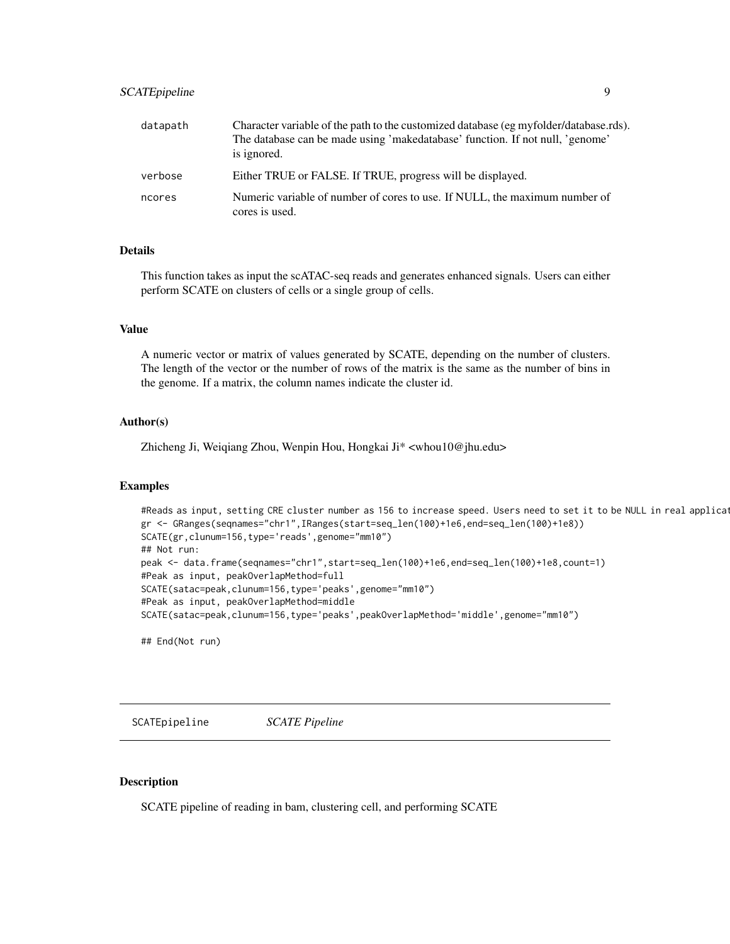<span id="page-8-0"></span>

| datapath | Character variable of the path to the customized database (eg myfolder/database.rds).<br>The database can be made using 'makedatabase' function. If not null, 'genome'<br>is ignored. |
|----------|---------------------------------------------------------------------------------------------------------------------------------------------------------------------------------------|
| verbose  | Either TRUE or FALSE. If TRUE, progress will be displayed.                                                                                                                            |
| ncores   | Numeric variable of number of cores to use. If NULL, the maximum number of<br>cores is used.                                                                                          |

#### Details

This function takes as input the scATAC-seq reads and generates enhanced signals. Users can either perform SCATE on clusters of cells or a single group of cells.

#### Value

A numeric vector or matrix of values generated by SCATE, depending on the number of clusters. The length of the vector or the number of rows of the matrix is the same as the number of bins in the genome. If a matrix, the column names indicate the cluster id.

#### Author(s)

Zhicheng Ji, Weiqiang Zhou, Wenpin Hou, Hongkai Ji\* <whou10@jhu.edu>

#### Examples

```
#Reads as input, setting CRE cluster number as 156 to increase speed. Users need to set it to be NULL in real applications.
gr <- GRanges(seqnames="chr1",IRanges(start=seq_len(100)+1e6,end=seq_len(100)+1e8))
SCATE(gr,clunum=156,type='reads',genome="mm10")
## Not run:
peak <- data.frame(seqnames="chr1",start=seq_len(100)+1e6,end=seq_len(100)+1e8,count=1)
#Peak as input, peakOverlapMethod=full
SCATE(satac=peak,clunum=156,type='peaks',genome="mm10")
#Peak as input, peakOverlapMethod=middle
SCATE(satac=peak,clunum=156,type='peaks',peakOverlapMethod='middle',genome="mm10")
```
## End(Not run)

SCATEpipeline *SCATE Pipeline*

#### **Description**

SCATE pipeline of reading in bam, clustering cell, and performing SCATE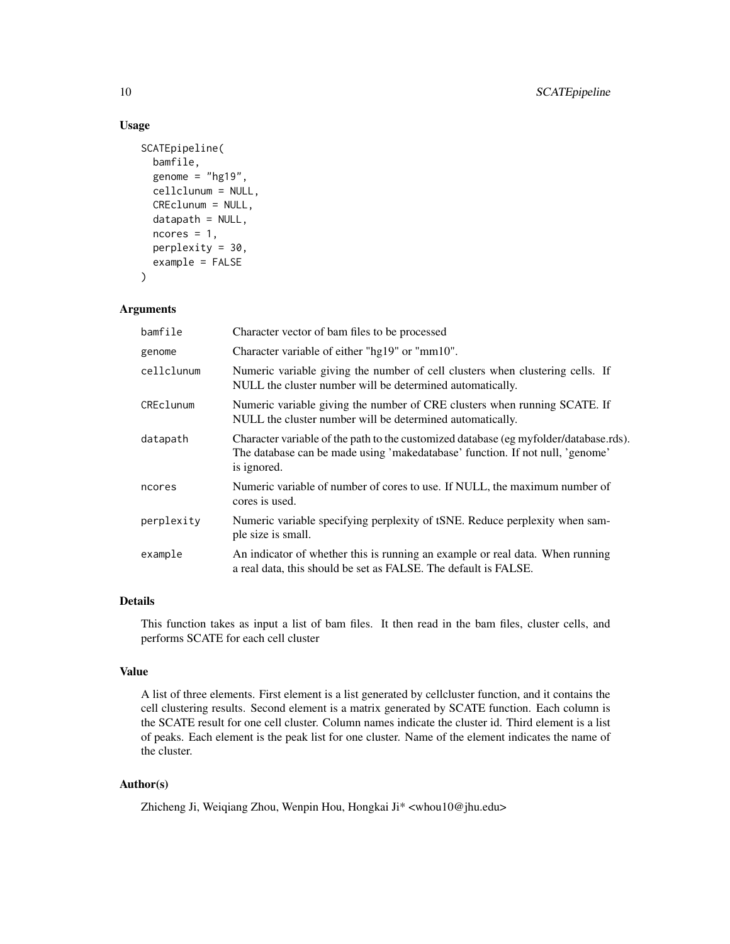#### Usage

```
SCATEpipeline(
  bamfile,
  genome = "hg19",
  cellclunum = NULL,
  CREclunum = NULL,
  datapath = NULL,ncores = 1,
  perplexity = 30,
  example = FALSE
)
```
#### Arguments

| bamfile    | Character vector of bam files to be processed                                                                                                                                         |
|------------|---------------------------------------------------------------------------------------------------------------------------------------------------------------------------------------|
| genome     | Character variable of either "hg19" or "mm10".                                                                                                                                        |
| cellclunum | Numeric variable giving the number of cell clusters when clustering cells. If<br>NULL the cluster number will be determined automatically.                                            |
| CREclunum  | Numeric variable giving the number of CRE clusters when running SCATE. If<br>NULL the cluster number will be determined automatically.                                                |
| datapath   | Character variable of the path to the customized database (eg myfolder/database.rds).<br>The database can be made using 'makedatabase' function. If not null, 'genome'<br>is ignored. |
| ncores     | Numeric variable of number of cores to use. If NULL, the maximum number of<br>cores is used.                                                                                          |
| perplexity | Numeric variable specifying perplexity of tSNE. Reduce perplexity when sam-<br>ple size is small.                                                                                     |
| example    | An indicator of whether this is running an example or real data. When running<br>a real data, this should be set as FALSE. The default is FALSE.                                      |

#### Details

This function takes as input a list of bam files. It then read in the bam files, cluster cells, and performs SCATE for each cell cluster

#### Value

A list of three elements. First element is a list generated by cellcluster function, and it contains the cell clustering results. Second element is a matrix generated by SCATE function. Each column is the SCATE result for one cell cluster. Column names indicate the cluster id. Third element is a list of peaks. Each element is the peak list for one cluster. Name of the element indicates the name of the cluster.

#### Author(s)

Zhicheng Ji, Weiqiang Zhou, Wenpin Hou, Hongkai Ji\* <whou10@jhu.edu>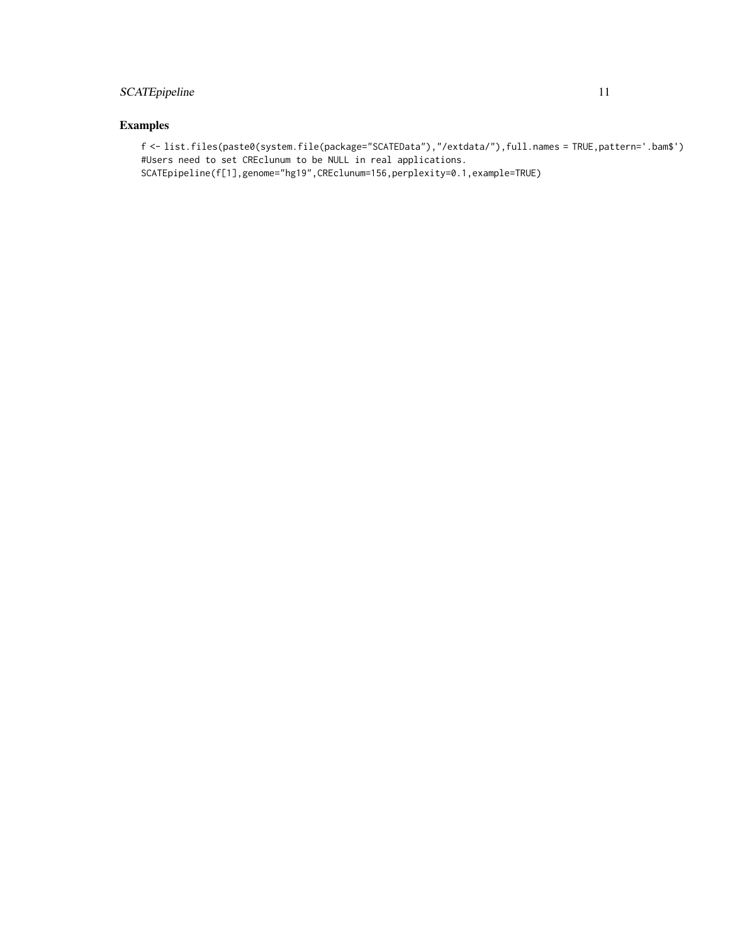#### SCATE pipeline 11

#### Examples

f <- list.files(paste0(system.file(package="SCATEData"),"/extdata/"),full.names = TRUE,pattern='.bam\$') #Users need to set CREclunum to be NULL in real applications. SCATEpipeline(f[1],genome="hg19",CREclunum=156,perplexity=0.1,example=TRUE)